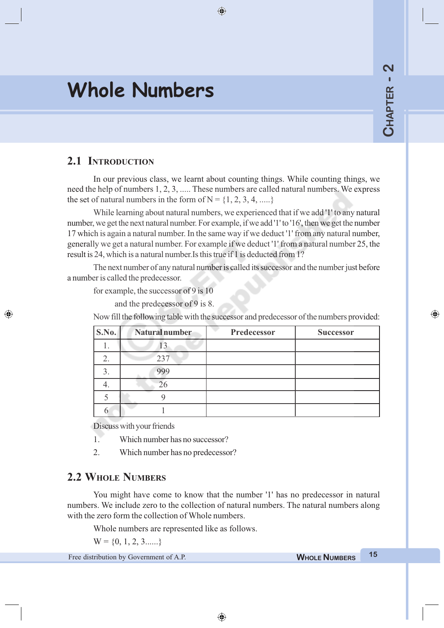# **Whole Numbers**

⊕

# **2.1 INTRODUCTION**

◈

In our previous class, we learnt about counting things. While counting things, we need the help of numbers 1, 2, 3, ..... These numbers are called natural numbers. We express the set of natural numbers in the form of  $N = \{1, 2, 3, 4, \dots\}$ 

 $\bigoplus$ 

While learning about natural numbers, we experienced that if we add '1' to any natural number, we get the next natural number. For example, if we add '1' to '16', then we get the number 17 which is again a natural number. In the same way if we deduct '1' from any natural number, generally we get a natural number. For example if we deduct '1' from a natural number 25, the result is 24, which is a natural number.Is this true if 1 is deducted from 1?

The next number of any natural number is called its successor and the number just before a number is called the predecessor.

for example, the successor of 9 is 10

and the predecessor of 9 is 8.

Now fill the following table with the successor and predecessor of the numbers provided:

| S.No. | Natural number | Predecessor | <b>Successor</b> |
|-------|----------------|-------------|------------------|
| .,    | 13             |             |                  |
| 2.    | 237            |             |                  |
|       | 999            |             |                  |
|       |                |             |                  |
|       |                |             |                  |
|       |                |             |                  |

Discuss with your friends

- 1. Which number has no successor?
- 2. Which number has no predecessor?

### **2.2 WHOLE NUMBERS**

You might have come to know that the number '1' has no predecessor in natural numbers. We include zero to the collection of natural numbers. The natural numbers along with the zero form the collection of Whole numbers.

Whole numbers are represented like as follows.

 $W = \{0, 1, 2, 3, \dots \}$ 

Free distribution by Government of A.P. **WHOLE <sup>W</sup>HOLE N NUMBERS UMBERS <sup>15</sup>**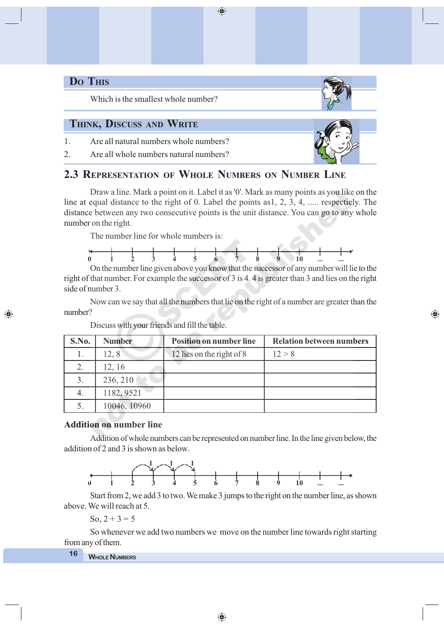# **DO THIS**

◈

Which is the smallest whole number?

### **THINK, DISCUSS AND WRITE**

1. Are all natural numbers whole numbers?

2. Are all whole numbers natural numbers?

# **2.3 REPRESENTATION OF WHOLE NUMBERS ON NUMBER LINE**

Draw a line. Mark a point on it. Label it as '0'. Mark as many points as you like on the line at equal distance to the right of 0. Label the points as1, 2, 3, 4, ..... respectiely. The distance between any two consecutive points is the unit distance. You can go to any whole number on the right.

 $\bigoplus$ 

The number line for whole numbers is:



On the number line given above you know that the successor of any number will lie to the right of that number. For example the successor of 3 is 4. 4 is greater than 3 and lies on the right side of number 3.

Now can we say that all the numbers that lie on the right of a number are greater than the number?

| S.No. | <b>Number</b> | <b>Position on number line</b> | <b>Relation between numbers</b> |
|-------|---------------|--------------------------------|---------------------------------|
| Ī.    | 12, 8         | 12 lies on the right of 8      | 12 > 8                          |
|       | 12, 16        |                                |                                 |
|       | 236, 210      |                                |                                 |
| 4.    | 1182, 9521    |                                |                                 |
|       | 10046, 10960  |                                |                                 |

Discuss with your friends and fill the table.

#### **Addition on number line**

Addition of whole numbers can be represented on number line. In the line given below, the addition of 2 and 3 is shown as below.



Start from 2, we add 3 to two. We make 3 jumps to the right on the number line, as shown above. We will reach at 5.

So,  $2 + 3 = 5$ 

So whenever we add two numbers we move on the number line towards right starting from any of them.

### **<sup>W</sup>HOLE NUMBERS <sup>16</sup>**





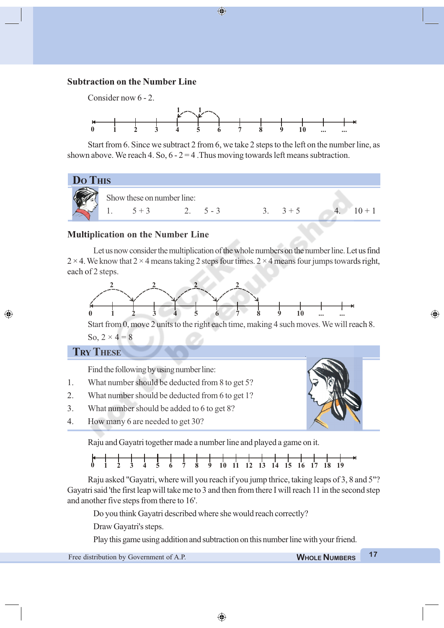#### **Subtraction on the Number Line**



⊕

Start from 6. Since we subtract 2 from 6, we take 2 steps to the left on the number line, as shown above. We reach 4. So,  $6 - 2 = 4$ . Thus moving towards left means subtraction.

# **DO THIS** Show these on number line: 1.  $5+3$  2.  $5-3$  3.  $3+5$  4.  $10+1$

#### **Multiplication on the Number Line**

Let us now consider the multiplication of the whole numbers on the number line. Let us find  $2 \times 4$ . We know that  $2 \times 4$  means taking 2 steps four times.  $2 \times 4$  means four jumps towards right, each of 2 steps.



Start from 0, move 2 units to the right each time, making 4 such moves. We will reach 8. So,  $2 \times 4 = 8$ 

#### **TRY THESE**

◈

Find the following by using number line:

- 1. What number should be deducted from 8 to get 5?
- 2. What number should be deducted from 6 to get 1?
- 3. What number should be added to 6 to get 8?
- 4. How many 6 are needed to get 30?

Raju and Gayatri together made a number line and played a game on it.



Raju asked "Gayatri, where will you reach if you jump thrice, taking leaps of 3, 8 and 5"? Gayatri said 'the first leap will take me to 3 and then from there I will reach 11 in the second step and another five steps from there to 16'.

Do you think Gayatri described where she would reach correctly?

Draw Gayatri's steps.

Play this game using addition and subtraction on this number line with your friend.

Free distribution by Government of A.P. **WHOLE <sup>W</sup>HOLE N NUMBERS UMBERS <sup>17</sup>**

⊕

◈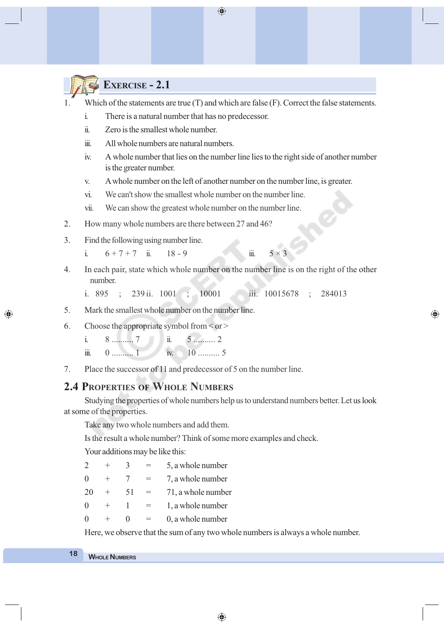◈

# **EXERCISE - 2.1**

- 1. Which of the statements are true (T) and which are false (F). Correct the false statements.
	- i. There is a natural number that has no predecessor.
	- ii. Zero is the smallest whole number.
	- iii. All whole numbers are natural numbers.
	- iv. A whole number that lies on the number line lies to the right side of another number is the greater number.
	- v. A whole number on the left of another number on the number line, is greater.
	- vi. We can't show the smallest whole number on the number line.
	- vii. We can show the greatest whole number on the number line.
- 2. How many whole numbers are there between 27 and 46?
- 3. Find the following using number line.
	- i.  $6 + 7 + 7$  ii.  $18 9$  iii.  $5 \times 3$
- 4. In each pair, state which whole number on the number line is on the right of the other number.

◈

i. 895 ; 239 ii. 1001 ; 10001 iii. 10015678 ; 284013

- 5. Mark the smallest whole number on the number line.
- 6. Choose the appropriate symbol from  $\leq$  or  $\geq$ 
	- i. 8 .......... 7 ii. 5 .......... 2
	- iii. 0 .......... 1 iv. 10 ........... 5
- 7. Place the successor of 11 and predecessor of 5 on the number line.

#### **2.4 PROPERTIES OF WHOLE NUMBERS**

Studying the properties of whole numbers help us to understand numbers better. Let us look at some of the properties.

Take any two whole numbers and add them.

Is the result a whole number? Think of some more examples and check.

Your additions may be like this:

|          |    | 5, a whole number  |
|----------|----|--------------------|
| ∩        |    | 7, a whole number  |
| 20       | 51 | 71, a whole number |
| $\Omega$ |    | 1, a whole number  |
|          |    | 0, a whole number  |
|          |    |                    |

Here, we observe that the sum of any two whole numbers is always a whole number.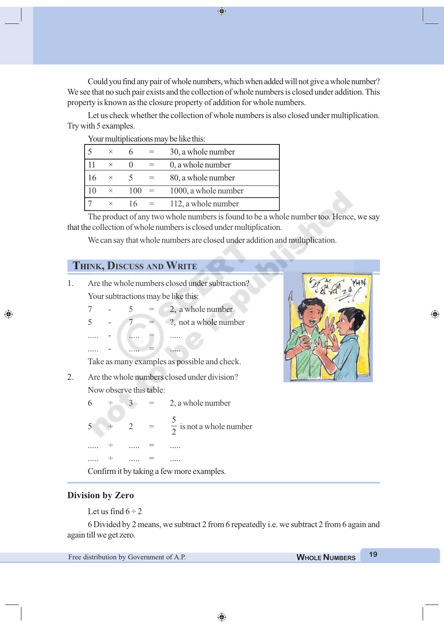Could you find any pair of whole numbers, which when added will not give a whole number? We see that no such pair exists and the collection of whole numbers is closed under addition. This property is known as the closure property of addition for whole numbers.

Let us check whether the collection of whole numbers is also closed under multiplication. Try with 5 examples.

Your multiplications may be like this:

| $\times$ |     | 30, a whole number   |
|----------|-----|----------------------|
| $\times$ |     | 0, a whole number    |
| $\times$ |     | 80, a whole number   |
| $\times$ | 100 | 1000, a whole number |
| $\times$ | 16  | 112, a whole number  |

The product of any two whole numbers is found to be a whole number too. Hence, we say that the collection of whole numbers is closed under multiplication.

We can say that whole numbers are closed under addition and multiplication.

# **THINK, DISCUSS AND WRITE**

- 1. Are the whole numbers closed under subtraction? Your subtractions may be like this:
	- $7 5 = 2$ , a whole number  $5 - 7 = ?$ , not a whole number ..... - ..... ..... ..... - ..... = ........

Take as many examples as possible and check.

2. Are the whole numbers closed under division? Now observe this table:

> $6 \div 3 = 2$ , a whole number  $5 \div 2 =$ 5  $\frac{1}{2}$  is not a whole number ..... ÷ ...... = ...... ..... ÷ ...... = ...... Confirm it by taking a few more examples.



◈

#### **Division by Zero**

◈

Let us find  $6 \div 2$ 

6 Divided by 2 means, we subtract 2 from 6 repeatedly i.e. we subtract 2 from 6 again and again till we get zero.

◈

Free distribution by Government of A.P. **WHOLE <sup>W</sup>HOLE N NUMBERS UMBERS <sup>19</sup>**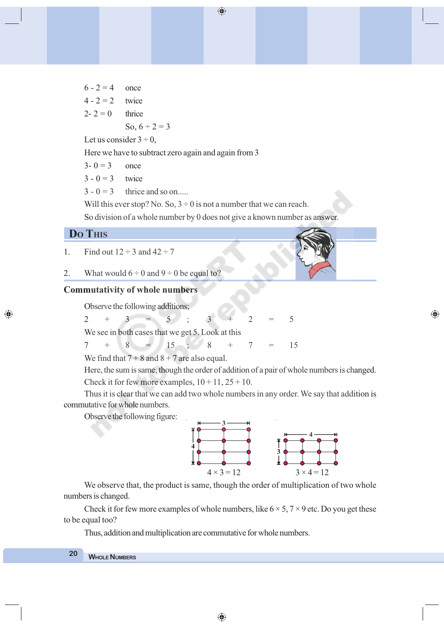$6 - 2 = 4$  once  $4 - 2 = 2$  twice  $2 - 2 = 0$  thrice So,  $6 \div 2 = 3$ Let us consider  $3 \div 0$ ,

Here we have to subtract zero again and again from 3

 $3 - 0 = 3$  once

 $3 - 0 = 3$  twice

 $3 - 0 = 3$  thrice and so on....

Will this ever stop? No. So,  $3 \div 0$  is not a number that we can reach.

So division of a whole number by 0 does not give a known number as answer.

#### **DO THIS**

◈

- 1. Find out  $12 \div 3$  and  $42 \div 7$
- 2. What would  $6 \div 0$  and  $9 \div 0$  be equal to?

#### **Commutativity of whole numbers**

Observe the following additions;

 $2 + 3 = 5$  ;  $3 + 2 = 5$ 

We see in both cases that we get 5. Look at this

$$
7 + 8 = 15 ; 8 + 7 = 15
$$

We find that  $7 + 8$  and  $8 + 7$  are also equal.

Here, the sum is same, though the order of addition of a pair of whole numbers is changed. Check it for few more examples,  $10 + 11$ ,  $25 + 10$ .

Thus it is clear that we can add two whole numbers in any order. We say that addition is commutative for whole numbers.

Observe the following figure:



⊕

We observe that, the product is same, though the order of multiplication of two whole numbers is changed.

Check it for few more examples of whole numbers, like  $6 \times 5$ ,  $7 \times 9$  etc. Do you get these to be equal too?

Thus, addition and multiplication are commutative for whole numbers.

### **<sup>W</sup>HOLE NUMBERS <sup>20</sup>**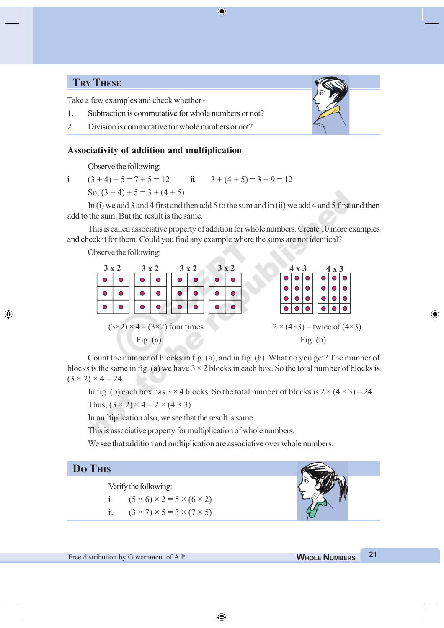# **TRY THESE**

Take a few examples and check whether -

- 1. Subtraction is commutative for whole numbers or not?
- 2. Division is commutative for whole numbers or not?

#### **Associativity of addition and multiplication**

Observe the following:

i.  $(3 + 4) + 5 = 7 + 5 = 12$  ii.  $3 + (4 + 5) = 3 + 9 = 12$ So,  $(3 + 4) + 5 = 3 + (4 + 5)$ 

In (i) we add 3 and 4 first and then add 5 to the sum and in (ii) we add 4 and 5 first and then add to the sum. But the result is the same.

⊕

This is called associative property of addition for whole numbers. Create 10 more examples and check it for them. Could you find any example where the sums are not identical?

Observe the following:

| 3x2 |                                             |            | $3 \times 2$ |  | $3 \times 2$ |   | 3x2      |  | $4 \times 3$<br>$4 \times 3$ |  |            |  |                                          |  |
|-----|---------------------------------------------|------------|--------------|--|--------------|---|----------|--|------------------------------|--|------------|--|------------------------------------------|--|
|     | O                                           | O          | Ο            |  | О            | O | $\Omega$ |  |                              |  |            |  |                                          |  |
|     | Ο                                           |            | ∩            |  | ∩            | Ο | ◠        |  |                              |  |            |  |                                          |  |
|     |                                             |            |              |  |              |   |          |  |                              |  |            |  |                                          |  |
|     | Ο                                           |            | Ο            |  |              |   |          |  |                              |  |            |  |                                          |  |
|     | $(3\times2)\times4 = (3\times2)$ four times |            |              |  |              |   |          |  |                              |  |            |  | $2 \times (4 \times 3)$ = twice of (4×3) |  |
|     |                                             | Fig. $(a)$ |              |  |              |   |          |  |                              |  | Fig. $(b)$ |  |                                          |  |

Count the number of blocks in fig. (a), and in fig. (b). What do you get? The number of blocks is the same in fig. (a) we have  $3 \times 2$  blocks in each box. So the total number of blocks is  $(3 \times 2) \times 4 = 24$ 

In fig. (b) each box has  $3 \times 4$  blocks. So the total number of blocks is  $2 \times (4 \times 3) = 24$ 

Thus,  $(3 \times 2) \times 4 = 2 \times (4 \times 3)$ 

In multiplication also, we see that the result is same.

This is associative property for multiplication of whole numbers.

We see that addition and multiplication are associative over whole numbers.

#### **DO THIS**

◈

Verify the following:

i.  $(5 \times 6) \times 2 = 5 \times (6 \times 2)$ ii.  $(3 \times 7) \times 5 = 3 \times (7 \times 5)$ 

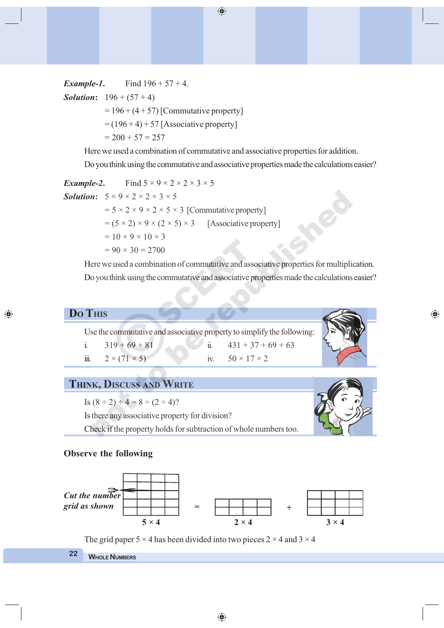*Example-1*. Find  $196 + 57 + 4$ .

*Solution*:  $196 + (57 + 4)$ 

 $= 196 + (4 + 57)$  [Commutative property]

 $= (196 + 4) + 57$  [Associative property]

 $= 200 + 57 = 257$ 

Here we used a combination of commutative and associative properties for addition.

Do you think using the commutative and associative properties made the calculations easier?

*Example-2*. Find  $5 \times 9 \times 2 \times 2 \times 3 \times 5$ *Solution*:  $5 \times 9 \times 2 \times 2 \times 3 \times 5$  $= 5 \times 2 \times 9 \times 2 \times 5 \times 3$  [Commutative property]  $= (5 \times 2) \times 9 \times (2 \times 5) \times 3$  [Associative property]  $= 10 \times 9 \times 10 \times 3$  $= 90 \times 30 = 2700$ 

Here we used a combination of commutative and associative properties for multiplication. Do you think using the commutative and associative properties made the calculations easier?

#### **DO THIS**

◈

Use the commutative and associative property to simplify the following: i.  $319 + 69 + 81$  ii.  $431 + 37 + 69 + 63$ iii.  $2 \times (71 \times 5)$  iv.  $50 \times 17 \times 2$ 

# **THINK, DISCUSS AND WRITE**

Is  $(8 \div 2) \div 4 = 8 \div (2 \div 4)$ ?

Is there any associative property for division? Check if the property holds for subtraction of whole numbers too.



⊕

#### **Observe the following**



The grid paper 5  $\times$  4 has been divided into two pieces 2  $\times$  4 and 3  $\times$  4

```
WHOLE NUMBERS 22
```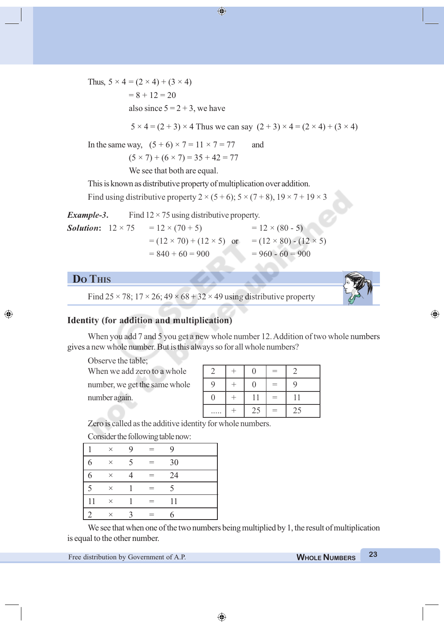Thus,  $5 \times 4 = (2 \times 4) + (3 \times 4)$  $= 8 + 12 = 20$ also since  $5 = 2 + 3$ , we have  $5 \times 4 = (2 + 3) \times 4$  Thus we can say  $(2 + 3) \times 4 = (2 \times 4) + (3 \times 4)$ 

In the same way,  $(5 + 6) \times 7 = 11 \times 7 = 77$  and

 $(5 \times 7) + (6 \times 7) = 35 + 42 = 77$ 

We see that both are equal.

This is known as distributive property of multiplication over addition.

Find using distributive property  $2 \times (5 + 6)$ ;  $5 \times (7 + 8)$ ,  $19 \times 7 + 19 \times 3$ 

| Example-3.                      | Find $12 \times 75$ using distributive property. |                                    |
|---------------------------------|--------------------------------------------------|------------------------------------|
| <b>Solution:</b> $12 \times 75$ | $= 12 \times (70 + 5)$                           | $= 12 \times (80 - 5)$             |
|                                 | $= (12 \times 70) + (12 \times 5)$ or            | $= (12 \times 80) - (12 \times 5)$ |
|                                 | $= 840 + 60 = 900$                               | $= 960 - 60 = 900$                 |

# **DO THIS**

◈

Find  $25 \times 78$ ;  $17 \times 26$ ;  $49 \times 68 + 32 \times 49$  using distributive property



⊕

#### **Identity (for addition and multiplication)**

When you add 7 and 5 you get a new whole number 12. Addition of two whole numbers gives a new whole number. But is this always so for all whole numbers?

Observe the table;

| When we add zero to a whole   |  |  |  |
|-------------------------------|--|--|--|
| number, we get the same whole |  |  |  |
| number again.                 |  |  |  |

|   | 0                |   | 2  |
|---|------------------|---|----|
| 9 | $\left( \right)$ |   | 9  |
| 0 | 11               | ᆖ | 11 |
|   | 25               | ᆖ | 25 |

Zero is called as the additive identity for whole numbers.

Consider the following table now:

|    | $\times$ | $\mathbf Q$              | $=$ | Q  |  |
|----|----------|--------------------------|-----|----|--|
| 6  | $\times$ | $\overline{\mathcal{L}}$ | $=$ | 30 |  |
| 6  | $\times$ |                          | $=$ | 24 |  |
| 5  | $\times$ |                          | $=$ | 5  |  |
| 11 | $\times$ |                          | $=$ | 11 |  |
|    | $\times$ |                          |     |    |  |

We see that when one of the two numbers being multiplied by 1, the result of multiplication is equal to the other number.

Free distribution by Government of A.P. **WHOLE <sup>W</sup>HOLE N NUMBERS UMBERS <sup>23</sup>**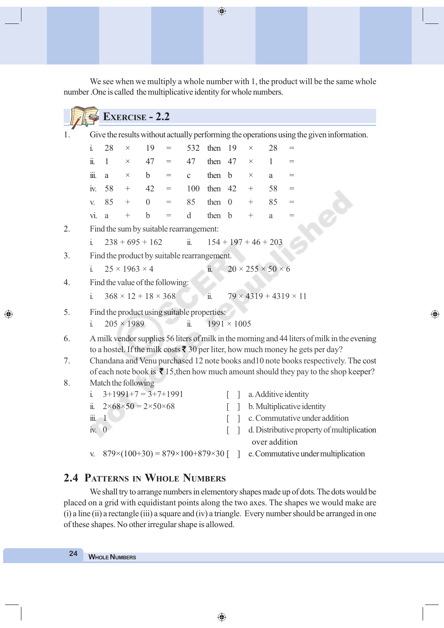We see when we multiply a whole number with 1, the product will be the same whole number .One is called the multiplicative identity for whole numbers.

 $\bigoplus$ 

|    |                        |                     |                           | <b>EXERCISE - 2.2</b>                            |     |                       |                       |                    |          |                                    |                                                                                                               |
|----|------------------------|---------------------|---------------------------|--------------------------------------------------|-----|-----------------------|-----------------------|--------------------|----------|------------------------------------|---------------------------------------------------------------------------------------------------------------|
| 1. |                        |                     |                           |                                                  |     |                       |                       |                    |          |                                    | Give the results without actually performing the operations using the given information.                      |
|    | $\mathbf{i}$           | 28                  | $\times$                  | 19                                               | $=$ | 532                   | then $19$             |                    | $\times$ | 28                                 | =                                                                                                             |
|    | $\dddot{\mathbf{u}}$ . | 1                   | $\times$                  | 47                                               | $=$ | 47                    | then $47$             |                    | $\times$ | $\mathbf{1}$                       | $=$                                                                                                           |
|    | iii.                   | a                   | $\times$                  | $\mathbf b$                                      | $=$ | $\mathbf{C}$          | then                  | $\mathbf b$        | $\times$ | a                                  | $=$                                                                                                           |
|    | iv.                    | 58                  | $^{+}$                    | 42                                               | $=$ | 100                   | then $42$             |                    | $^{+}$   | 58                                 | $=$                                                                                                           |
|    | V.                     | 85                  | $^{+}$                    | $\overline{0}$                                   | $=$ | 85                    | then                  | $\overline{0}$     | $\pm$    | 85                                 | =                                                                                                             |
|    | $\overline{vi}$ .      | a                   | $^{+}$                    | $\mathbf b$                                      | $=$ | d                     | then                  | $\mathbf b$        | $\pm$    | a                                  | $=$                                                                                                           |
| 2. |                        |                     |                           | Find the sum by suitable rearrangement:          |     |                       |                       |                    |          |                                    |                                                                                                               |
|    | i.                     |                     |                           | $238 + 695 + 162$                                |     | $\ddot{\mathbf{1}}$ . |                       |                    |          | $154 + 197 + 46 + 203$             |                                                                                                               |
| 3. |                        |                     |                           | Find the product by suitable rearrangement.      |     |                       |                       |                    |          |                                    |                                                                                                               |
|    | $\mathbf{i}$           |                     | $25 \times 1963 \times 4$ |                                                  |     |                       | ii.                   |                    |          | $20 \times 255 \times 50 \times 6$ |                                                                                                               |
| 4. |                        |                     |                           | Find the value of the following:                 |     |                       |                       |                    |          |                                    |                                                                                                               |
|    | $\mathbf{i}$ .         |                     |                           | $368 \times 12 + 18 \times 368$                  |     |                       | $\ddot{\mathbf{1}}$ . |                    |          |                                    | $79 \times 4319 + 4319 \times 11$                                                                             |
| 5. |                        |                     |                           | Find the product using suitable properties:      |     |                       |                       |                    |          |                                    |                                                                                                               |
|    | $\mathbf{i}$           |                     | $205 \times 1989$         |                                                  |     | ii.                   |                       | $1991 \times 1005$ |          |                                    |                                                                                                               |
| 6. |                        |                     |                           |                                                  |     |                       |                       |                    |          |                                    | A milk vendor supplies 56 liters of milk in the morning and 44 liters of milk in the evening                  |
|    |                        |                     |                           |                                                  |     |                       |                       |                    |          |                                    | to a hostel. If the milk costs $\bar{z}$ 30 per liter, how much money he gets per day?                        |
| 7. |                        |                     |                           |                                                  |     |                       |                       |                    |          |                                    | Chandana and Venu purchased 12 note books and 10 note books respectively. The cost                            |
|    |                        |                     |                           |                                                  |     |                       |                       |                    |          |                                    | of each note book is $\bar{\mathbf{\mathsf{z}}}$ 15, then how much amount should they pay to the shop keeper? |
| 8. | $\mathbf{i}$ .         | Match the following |                           | $3+1991+7=3+7+1991$                              |     |                       |                       | $\mathbf{I}$       |          |                                    | a. Additive identity                                                                                          |
|    | $\ddot{\mathbf{u}}$ .  |                     |                           | $2 \times 68 \times 50 = 2 \times 50 \times 68$  |     |                       |                       | 1                  |          |                                    | b. Multiplicative identity                                                                                    |
|    | iii.                   | $\mathbf{1}$        |                           |                                                  |     |                       |                       |                    |          |                                    | c. Commutative under addition                                                                                 |
|    | IV.                    | $\overline{0}$      |                           |                                                  |     |                       |                       | J.                 |          |                                    | d. Distributive property of multiplication                                                                    |
|    |                        |                     |                           |                                                  |     |                       |                       |                    |          | over addition                      |                                                                                                               |
|    | V.                     |                     |                           | $879\times(100+30) = 879\times100+879\times30$ [ |     |                       |                       |                    |          |                                    | e. Commutative under multiplication                                                                           |

 $\bigoplus$ 

# **2.4 PATTERNS IN WHOLE NUMBERS**

We shall try to arrange numbers in elementory shapes made up of dots. The dots would be placed on a grid with equidistant points along the two axes. The shapes we would make are (i) a line (ii) a rectangle (iii) a square and (iv) a triangle. Every number should be arranged in one of these shapes. No other irregular shape is allowed.

◈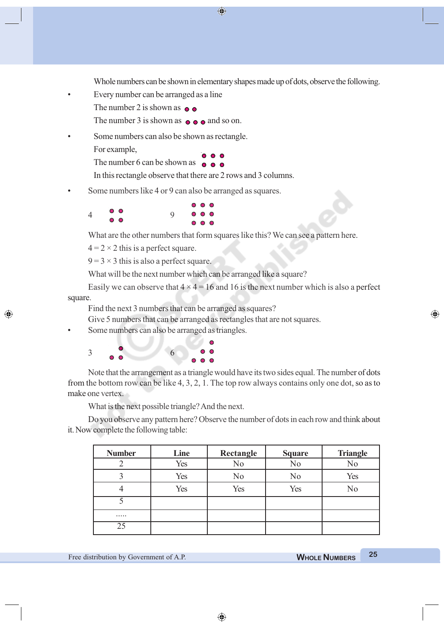$\bigcirc$ 

Whole numbers can be shown in elementary shapes made up of dots, observe the following.

• Every number can be arranged as a line

The number 2 is shown as  $\bullet \bullet$ 

The number 3 is shown as  $\bullet \bullet \bullet$  and so on.

Some numbers can also be shown as rectangle.

For example,

◈

The number 6 can be shown as  $\bullet \bullet \bullet$ 

In this rectangle observe that there are 2 rows and 3 columns.

Some numbers like 4 or 9 can also be arranged as squares.

|                     | 000   |
|---------------------|-------|
| 0 <sup>o</sup>      | 000   |
| $\bullet$ $\bullet$ | 0.0.0 |

What are the other numbers that form squares like this? We can see a pattern here.

 $4 = 2 \times 2$  this is a perfect square.

 $9 = 3 \times 3$  this is also a perfect square.

What will be the next number which can be arranged like a square?

Easily we can observe that  $4 \times 4 = 16$  and 16 is the next number which is also a perfect square.

Find the next 3 numbers that can be arranged as squares?

Tues.

Give 5 numbers that can be arranged as rectangles that are not squares.

Some numbers can also be arranged as triangles.

| $\mathcal{R}$ |                | 6 |                | $\circ$ $\circ$ |
|---------------|----------------|---|----------------|-----------------|
|               | 0 <sup>o</sup> |   | 0 <sub>0</sub> |                 |

Note that the arrangement as a triangle would have its two sides equal. The number of dots from the bottom row can be like 4, 3, 2, 1. The top row always contains only one dot, so as to make one vertex.

What is the next possible triangle? And the next.

Do you observe any pattern here? Observe the number of dots in each row and think about it. Now complete the following table:

| <b>Number</b> | Line | Rectangle      | <b>Square</b>  | <b>Triangle</b> |
|---------------|------|----------------|----------------|-----------------|
|               | Yes  | No             | N <sub>0</sub> | No              |
|               | Yes  | N <sub>0</sub> | N <sub>0</sub> | Yes             |
|               | Yes  | Yes            | Yes            | No              |
|               |      |                |                |                 |
|               |      |                |                |                 |
|               |      |                |                |                 |

⊕

◈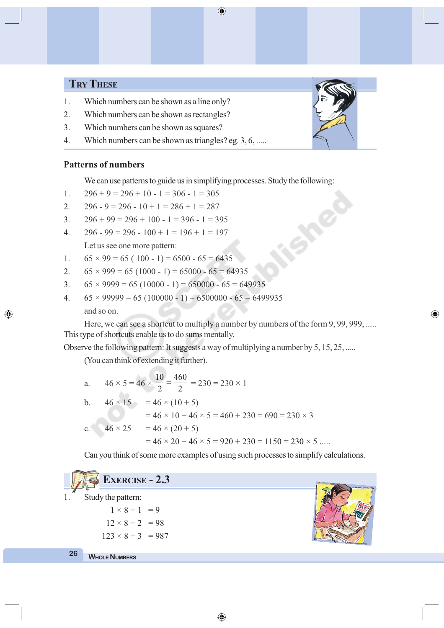# **TRY THESE**

- 1. Which numbers can be shown as a line only?
- 2. Which numbers can be shown as rectangles?
- 3. Which numbers can be shown as squares?
- 4. Which numbers can be shown as triangles? eg. 3, 6, .....

#### **Patterns of numbers**

◈

We can use patterns to guide us in simplifying processes. Study the following:

- 1.  $296 + 9 = 296 + 10 1 = 306 1 = 305$
- 2.  $296 9 = 296 10 + 1 = 286 + 1 = 287$
- 3.  $296 + 99 = 296 + 100 1 = 396 1 = 395$
- 4.  $296 99 = 296 100 + 1 = 196 + 1 = 197$

Let us see one more pattern:

- 1.  $65 \times 99 = 65 (100 1) = 6500 65 = 6435$
- 2.  $65 \times 999 = 65 (1000 1) = 65000 65 = 64935$
- 3.  $65 \times 9999 = 65 (10000 1) = 650000 65 = 649935$
- 4.  $65 \times 99999 = 65 (100000 1) = 6500000 65 = 6499935$ and so on.

Here, we can see a shortcut to multiply a number by numbers of the form 9, 99, 999, ..... This type of shortcuts enable us to do sums mentally.

Observe the following pattern: It suggests a way of multiplying a number by 5, 15, 25, .....

(You can think of extending it further).

|  | a. $46 \times 5 = 46 \times \frac{10}{2} = \frac{460}{2} = 230 = 230 \times 1$ |
|--|--------------------------------------------------------------------------------|
|  | b. $46 \times 15 = 46 \times (10 + 5)$                                         |
|  | $= 46 \times 10 + 46 \times 5 = 460 + 230 = 690 = 230 \times 3$                |
|  | c. $46 \times 25 = 46 \times (20 + 5)$                                         |
|  | $= 46 \times 20 + 46 \times 5 = 920 + 230 = 1150 = 230 \times 5$               |

Can you think of some more examples of using such processes to simplify calculations.



◈



⊕

 $\bigoplus$